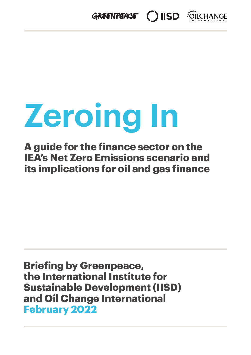

# **Zeroing In**

**A guide for the finance sector on the IEA's Net Zero Emissions scenario and its implications for oil and gas finance**

**Briefing by Greenpeace, the International Institute for Sustainable Development (IISD) and Oil Change International February 2022**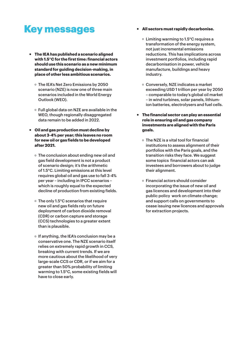## Key messages

- ~ **The IEA has published a scenario aligned with 1.5°C for the first time: financial actors should use this scenario as a new minimum standard for guiding decision-making, in place of other less ambitious scenarios.**
	- $\circ$  The IEA's Net Zero Emissions by 2050 scenario (NZE) is now one of three main scenarios included in the World Energy Outlook (WEO).
	- Full global data on NZE are available in the WEO, though regionally disaggregated data remain to be added in 2022.
- ~ **Oil and gas production must decline by about 3-4% per year; this leaves no room for new oil or gas fields to be developed after 2021.**
	- The conclusion about ending new oil and gas field development is not a product of scenario design; it's the arithmetic of 1.5°C. Limiting emissions at this level requires global oil and gas use to fall 3-4% per year – including in IPCC scenarios – which is roughly equal to the expected decline of production from existing fields.
	- The only 1.5°C scenarios that require new oil and gas fields rely on future deployment of carbon dioxide removal (CDR) or carbon capture and storage (CCS) technologies to a greater extent than is plausible.
	- $\circ$  If anything, the IEA's conclusion may be a conservative one. The NZE scenario itself relies on extremely rapid growth in CCS, breaking with current trends. If we are more cautious about the likelihood of very large-scale CCS or CDR, or if we aim for a greater than 50% probability of limiting warming to 1.5°C, some existing fields will have to close early.
- ~ **All sectors must rapidly decarbonise.**
	- Limiting warming to 1.5°C requires a transformation of the energy system, not just incremental emissions reductions. This has implications across investment portfolios, including rapid decarbonisation in power, vehicle manufacture, buildings and heavy industry.
	- Conversely, NZE indicates a market exceeding USD 1 trillion per year by 2050 – comparable to today's global oil market – in wind turbines, solar panels, lithiumion batteries, electrolysers and fuel cells.
- ~ **The financial sector can play an essential role in ensuring oil and gas company investments are aligned with the Paris goals.**
	- $\circ$  The NZE is a vital tool for financial institutions to assess alignment of their portfolios with the Paris goals, and the transition risks they face. We suggest some topics financial actors can ask investees and borrowers about to judge their alignment.
	- Financial actors should consider incorporating the issue of new oil and gas licences and development into their public policy work on climate change; and support calls on governments to cease issuing new licences and approvals for extraction projects.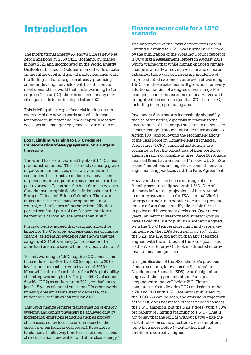## Introduction

The International Energy Agency's (IEA's) new Net Zero Emissions by 2050 (NZE) scenario, published in May 2021 and incorporated in the **World Energy Outlook** published in October, sparked wide debate on the future of oil and gas.1 It made headlines with the finding that oil and gas in already-producing or under-development fields will be sufficient to meet demand in a world that limits warming to 1.5 degrees Celsius (°C): there is no need for any new oil or gas fields to be developed after 2021.

This briefing aims to give financial institutions an overview of the new scenario and what it means for corporate, investor and lender capital allocation decisions and engagement, especially in oil and gas.

#### **Box 1: Limiting warming to 1.5°C requires transformation of energy systems, on an urgent timescale**

The world has so far warmed by about 1.1°C since pre-industrial times.2 This is already causing grave impacts on human lives, natural systems and economies. In the last year alone, we have seen unprecedented temperature extremes such as the polar vortex in Texas and the heat dome in western Canada; catastrophic floods in Indonesia, northern Europe, China and British Columbia. There are indications the crisis may be spinning out of control, with releases of methane from Siberian permafrost,<sup>3</sup> and parts of the Amazon rainforest becoming a carbon source rather than sink.4

It is now widely agreed that warming should be limited to 1.5°C to avoid extreme dangers of climate change, as scientific evidence has shown that the dangers at 2°C of warming (once considered a guardrail) are more severe than previously thought.5

To limit warming to 1.5°C requires CO2 emissions to be reduced by 45% by 2030 (compared to 2010 levels), and to reach net zero by around 2050.<sup>6</sup> Meanwhile, the carbon budget for a 50% probability of limiting warming to 1.5°C is just 460 Gt of carbon dioxide (CO2) as at the start of 2021, equivalent to just 11.5 years of annual emissions.<sup>7</sup> In other words, unless global emissions start to decrease, the budget will be fully exhausted by 2032.

This rapid change requires transformation of energy systems, and cannot physically be achieved only by incremental emissions reduction such as process efficiencies, nor by focusing on one aspect of the energy system (such as coal power). It requires a fundamental shift away from fossil fuels and in favour of electrification, renewables and other clean energy.8

#### **Finance sector calls for a 1.5°C scenario**

The importance of the Paris Agreement's goal of limiting warming to 1.5°C was further underlined by the publication of the Working Group I report of IPCC's **Sixth Assessment Report** in August 2021, which warned that while human-induced climate change is already affecting weather and climate extremes, there will be increasing incidence of unprecedented extreme events even at warming of 1.5°C, and these extremes will get worse for every additional fraction of a degree of warming.9 For example, concurrent extremes of heatwaves and drought will be more frequent at 2°C than 1.5°C, including in crop-producing areas.10

Investment decisions are increasingly shaped by the use of scenarios, especially in relation to the uncertainties of the energy transition in response to climate change. Through initiatives such as Climate Action 100+ and following the recommendations of the Task Force on Climate-Related Financial Disclosures (TCFD), financial institutions use scenarios to test the robustness of their portfolios against a range of possible futures. Since 2020, many financial firms have announced "net-zero by 2050 or sooner" ambitions and high-level commitments to align financing practices with the Paris Agreement.

However, there has been a shortage of userfriendly scenarios aligned with 1.5°C. One of the most influential projections of future trends in energy systems is in the IEA's annual **World Energy Outlook**. It is popular because it presents data in a form that is readily digestible for use in policy and investment decisions. Over recent years, numerous investors and investor groups have asked the IEA to publish a scenario aligned with the 1.5°C temperature limit, and were a key influence on the IEA's decision to do so.11 Until the NZE, the IEA did not publish any scenarios aligned with the ambition of the Paris goals, and so the World Energy Outlook misdirected energy investments and policies.

Until publication of the NZE, the IEA's previous climate scenario, known as the Sustainable Development Scenario (SDS), was designed to align with the upper limit of the Paris goals: keeping warming well below 2°C. Figure 1 compares carbon dioxide (CO2) emissions in the NZE and SDS with 1.5°C scenarios published by the IPCC. As can be seen, the emissions trajectory of the SDS does not match what is needed to meet the 1.5°C ambition, but the NZE's does (with a 50% probability of limiting warming to 1.5°C). That is not to say that the NZE is without flaws – like the SDS, it relies on some questionable assumptions (on which more below) – but rather that its ambition is correctly aligned.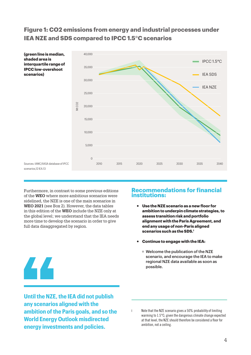## **Figure 1: CO2 emissions from energy and industrial processes under IEA NZE and SDS compared to IPCC 1.5°C scenarios**



Furthermore, in contrast to some previous editions of the **WEO** where more ambitious scenarios were sidelined, the NZE is one of the main scenarios in **WEO 2021** (see Box 2). However, the data tables in this edition of the **WEO** include the NZE only at the global level; we understand that the IEA needs more time to develop the scenario in order to give full data disaggregated by region.

#### **Recommendations for financial institutions:**

- ~ **Use the NZE scenario as a new floor for ambition to underpin climate strategies, to assess transition risk and portfolio alignment with the Paris Agreement, and end any usage of non-Paris aligned scenarios such as the SDS.I**
- ~ **Continue to engage with the IEA:**
	- Welcome the publication of the NZE scenario, and encourage the IEA to make regional NZE data available as soon as possible.

44

**Until the NZE, the IEA did not publish any scenarios aligned with the ambition of the Paris goals, and so the World Energy Outlook misdirected energy investments and policies.**

Note that the NZE scenario gives a 50% probability of limiting warming to 1.5°C; given the dangerous climate change expected at that level, the NZE should therefore be considered a floor for ambition, not a ceiling.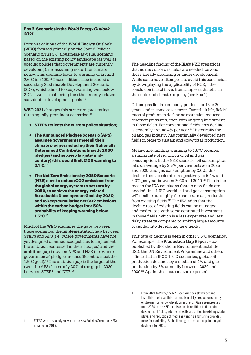#### **Box 2: Scenarios in the** *World Energy Outlook 2021*

Previous editions of the **World Energy Outlook (WEO)** focused primarily on the Stated Policies Scenario (STEPS), $\mathbb{I}$  a business-as-usual scenario based on the existing policy landscape (as well as specific policies that governments are currently developing), i.e. assuming no further climate policy. This scenario leads to warming of around 2.6°C in 2100.14 Those editions also included a secondary Sustainable Development Scenario (SDS), which aimed to keep warming well below 2°C as well as achieving the other energy-related sustainable development goals.15

**WEO 2021** changes this structure, presenting three equally-prominent scenarios:<sup>16</sup>

- ~ **STEPS reflects the current policy situation;**
- ~ **The Announced Pledges Scenario (APS) assumes governments meet all their climate pledges including their Nationally Determined Contributions (mostly 2030 pledges) and net-zero targets (midcentury); this would limit 2100 warming to 2.1°C.17**
- ~ **The Net Zero Emissions by 2050 Scenario (NZE) aims to reduce CO2 emissions from the global energy system to net zero by 2050, to achieve the energy-related Sustainable Development Goals by 2030, and to keep cumulative net CO2 emissions within the carbon budget for a 50% probability of keeping warming below 1.5°C.18**

Much of the **WEO** examines the gaps between these scenarios: the **implementation gap** between STEPS and APS (i.e. where governments have not yet designed or announced policies to implement the ambition expressed in their pledges) and the **ambition gap** between APS and NZE (i.e. where governments' pledges are insufficient to meet the 1.5 $\mathrm{°C}$  goal).<sup>19</sup> The ambition gap is the larger of the two: the APS closes only 20% of the gap in 2030 between STEPS and NZE.<sup>20</sup>

## No new oil and gas development

The headline finding of the IEA's NZE scenario is that no new oil or gas fields are needed, beyond those already producing or under development. While some have attempted to avoid this conclusion by downplaying the applicability of NZE,<sup>21</sup> the conclusion in fact flows from simple arithmetic, in the context of climate urgency (see Box 1).

Oil and gas fields commonly produce for 15 or 20 years, and in some cases more. Over their life, fields' rates of production decline as extraction reduces reservoir pressures, even with ongoing investment in those fields. For conventional fields, this decline is generally around 4% per year.<sup>22</sup> Historically the oil and gas industry has continually developed new fields in order to sustain and grow total production.

Meanwhile, limiting warming to 1.5°C requires a similar rate of reduction of oil and gas consumption. In the NZE scenario, oil consumption falls on average by 3.5% per year between 2025 and 2030, and gas consumption by 2.6%; this decline then accelerates respectively to 5.4% and 5.3% per year between 2030 and 2040.23 This is the reason the IEA concludes that no new fields are needed: in a 1.5°C world, oil and gas consumption will decline at roughly the same rate as production from existing fields. $II$  The IEA adds that the decline rate of existing fields can be managed and moderated with some continued investment in those fields, which is a less expensive and less risky strategy compared to sinking large amounts of capital into developing new fields.

This rate of decline is seen in other 1.5°C scenarios. For example, the **Production Gap Report** – copublished by Stockholm Environment Institute, IISD, the UN Environment Programme and others – finds that in IPCC 1.5°C scenarios, global oil production declines by a median of 4% and gas production by 3% annually between 2020 and 2030.24 Again, this matches the expected

III From 2021 to 2025, the NZE scenario sees slower decline than this in oil use: this demand is met by production coming onstream from under-development fields. Gas use increases until 2025 in the NZE: in this case, in addition to the underdevelopment fields, additional wells are drilled in existing shale plays, and reduction of methane venting and flaring provides more for marketing. Both oil and gas production go into regular decline after 2025.

II STEPS was previously known as the New Policies Scenario (NPS), renamed in 2019.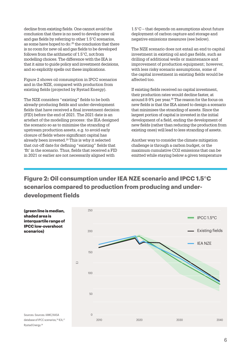decline from existing fields. One cannot avoid the conclusion that there is no need to develop new oil and gas fields by referring to other 1.5°C scenarios, as some have hoped to do:25 the conclusion that there is no room for new oil and gas fields to be developed follows from the arithmetic of 1.5°C, not from modelling choices. The difference with the IEA is that it aims to guide policy and investment decisions, and so explicitly spells out these implications.

Figure 2 shows oil consumption in IPCC scenarios and in the NZE, compared with production from existing fields (projected by Rystad Energy).

The NZE considers "existing" fields to be both already-producing fields and under-development fields that have received a final investment decision (FID) before the end of 2021. The 2021 date is an artefact of the modelling process: the IEA designed the scenario so as to minimise the stranding of upstream production assets, e.g. to avoid early closure of fields where significant capital has already been invested.29 This is why it selected that cut-off date for defining "existing" fields that 'fit' in the scenario. Thus, fields that received a FID in 2021 or earlier are not necessarily aligned with

1.5°C – that depends on assumptions about future deployment of carbon capture and storage and negative emissions measures (see below).

The NZE scenario does not entail an end to capital investment in existing oil and gas fields, such as drilling of additional wells or maintenance and improvement of production equipment; however, with less risky scenario assumptions, some of the capital investment in existing fields would be affected too.

If existing fields received no capital investment, their production rates would decline faster, at around 8-9% per year.<sup>30</sup> The reason for the focus on new fields is that the IEA aimed to design a scenario that minimises the stranding of assets. Since the largest portion of capital is invested in the initial development of a field, ending the development of new fields (rather than reducing the production from existing ones) will lead to less stranding of assets.

Another way to consider the climate mitigation challenge is through a carbon budget, or the maximum cumulative CO2 emissions that can be emitted while staying below a given temperature

**Figure 2: Oil consumption under IEA NZE scenario and IPCC 1.5°C scenarios compared to production from producing and underdevelopment fields**



Rystad Energy.28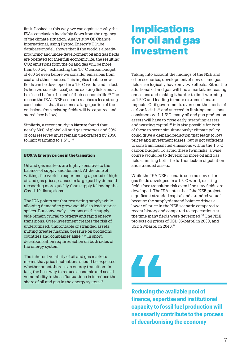limit. Looked at this way, we can again see why the IEA's conclusion inevitably flows from the urgency of the climate situation. Analysis by Oil Change International, using Rystad Energy's UCube database/model, shows that if the world's alreadyproducing and under-development oil and gas fields are operated for their full economic life, the resulting CO2 emissions from the oil and gas will be more than 500 Gt,  $31$  exhausting the 1.5 $\degree$ C carbon budget of 460 Gt even before we consider emissions from coal and other sources. This implies that no new fields can be developed in a 1.5°C world, and in fact (when we consider coal) some existing fields must be closed before the end of their economic life.32 The reason the IEA's NZE scenario reaches a less strong conclusion is that it assumes a large portion of the emissions from existing fields will be captured and stored (see below).

Similarly, a recent study in **Nature** found that nearly 60% of global oil and gas reserves and 90% of coal reserves must remain unextracted by 2050 to limit warming to  $1.5^{\circ}$ C.<sup>33</sup>

#### **BOX 3: Energy prices in the transition**

Oil and gas markets are highly sensitive to the balance of supply and demand. At the time of writing, the world is experiencing a period of high oil and gas prices, caused in large part by demand recovering more quickly than supply following the Covid-19 disruptions.

The IEA points out that restricting supply while allowing demand to grow would also lead to price spikes. But conversely, "actions on the supply side remain crucial to orderly and rapid energy transitions. Over-investment creates the risk of underutilised, unprofitable or stranded assets, putting greater financial pressure on producing countries and companies alike."34 In short, decarbonisation requires action on both sides of the energy system.

The inherent volatility of oil and gas markets means that price fluctuations should be expected whether or not there is an energy transition: in fact, the best way to reduce economic and social vulnerability to these fluctuations is to reduce the share of oil and gas in the energy system.<sup>35</sup>

## **Implications** for oil and gas investment

Taking into account the findings of the NZE and other scenarios, development of new oil and gas fields can logically have only two effects. Either the additional oil and gas will find a market, increasing emissions and making it harder to limit warming to 1.5°C and leading to more extreme climate impacts. Or if governments overcome the inertia of carbon lock-in36 and succeed in limiting emissions consistent with 1.5°C, many oil and gas production assets will have to close early, stranding assets and wasting capital.37 It is also possible for both of these to occur simultaneously: climate policy could drive a demand reduction that leads to low prices and investment losses, but is not sufficient to constrain fossil fuel emissions within the 1.5°C carbon budget. To avoid these twin risks, a wise course would be to develop no more oil and gas fields, limiting both the further lock-in of pollution and stranded assets.

While the IEA NZE scenario sees no new oil or gas fields developed in a 1.5°C world, existing fields face transition risk even if no new fields are developed. The IEA notes that "the NZE projects significant stranded capital and stranded value", because the supply/demand balance drives a lower oil price in the NZE scenario compared to recent history and compared to expectations at the time many fields were developed.38 The NZE projects oil prices of USD 35/barrel in 2030, and USD 28/barrel in 2040.39

## 44

**Reducing the available pool of finance, expertise and institutional capacity to fossil fuel production will necessarily contribute to the process of decarbonising the economy**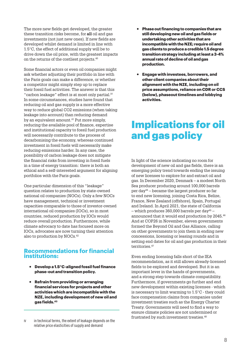The more new fields get developed, the greater these transition risks become, for **all** oil and gas investments (not just new ones). If new fields are developed whilst demand is limited in line with 1.5°C, the effect of additional supply will be to drive down the oil price, with the greatest impacts on the returns of the costliest projects.40

Some financial actors or even oil companies might ask whether adjusting their portfolio in line with the Paris goals can make a difference, or whether a competitor might simply step up to replace their fossil fuel activities. The answer is that this "carbon leakage" effect is at most only partial. $W$ In some circumstances, studies have found that reducing oil and gas supply is a more effective way to reduce global CO2 emissions (when taking leakage into account) than reducing demand by an equivalent amount.<sup>41</sup> Put more simply, reducing the available pool of finance, expertise and institutional capacity to fossil fuel production will necessarily contribute to the process of decarbonising the economy, whereas continued investment in fossil fuels will necessarily make reducing emissions harder. In any case, the possibility of carbon leakage does not mitigate the financial risks from investing in fossil fuels in a time of energy transition: there is both an ethical and a self-interested argument for aligning portfolios with the Paris goals.

One particular dimension of this "leakage" question relates to production by state-owned national oil companies (NOCs). Only a few NOCs have management, technical or investment capacities comparable to those of investor-owned international oil companies (IOCs), so in most countries, reduced production by IOCs would reduce overall production. Furthermore, while climate advocacy to date has focused more on IOCs, advocates are now turning their attention also to production by NOCs.42

#### **Recommendations for financial institutions:**

- ~ **Develop a 1.5°C-aligned fossil fuel finance phase-out and transition policy.**
- ~ **Refrain from providing or arranging financial services for projects and other activities which are incompatible with the NZE, including development of new oil and gas fields.43**
- ~ **Phase out financing to companies that are still developing new oil and gas fields or undertaking other activities that are incompatible with the NZE; require oil and gas clients to produce a credible 1.5 degree transition strategy including at least a 3-4% annual rate of decline of oil and gas production.**
- ~ **Engage with investees, borrowers, and other client companies about their alignment with the NZE, including on oil price assumptions, reliance on CDR or CCS (below), phaseout timelines and lobbying activities.**

## Implications for oil and gas policy

In light of the science indicating no room for development of new oil and gas fields, there is an emerging policy trend towards ending the issuing of new licenses to explore for and extract oil and gas. In December 2020, Denmark – a modest North Sea producer producing around 100,000 barrels per day44 – became the largest producer so far to end new licensing, joining Costa Rica, Belize, France, New Zealand (offshore), Spain, Portugal and Ireland. In April 2021, the state of California – which produces 360,000 barrels per day<sup>45</sup> – announced that it would end production by 2045.46 And at COP26 in November, eleven governments formed the Beyond Oil and Gas Alliance, calling on other governments to join them in ending new concessions, licensing or leasing rounds and in setting end dates for oil and gas production in their territories.<sup>47</sup>

Even ending licensing falls short of the IEA recommendation, as it still allows already-licensed fields to be explored and developed. But it is an important lever in the hands of governments, and a strong step towards climate compatibility. Furthermore, if governments go further and end new development within existing licenses - which is necessary to limit warming to 1.5°C - they could face compensation claims from companies under investment treaties such as the Energy Charter Treaty. Governments will need to find a way to ensure climate policies are not undermined or frustrated by such investment treaties. $48$ 

IV in technical terms, the extent of leakage depends on the relative price elasticities of supply and demand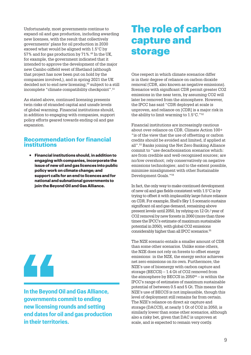Unfortunately, most governments continue to expand oil and gas production, including awarding new licenses, with the result that collectively governments' plans for oil production in 2030 exceed what would be aligned with 1.5°C by 57% and for gas production by 71%.49 In the UK, for example, the government indicated that it intended to approve the development of the major new Cambo oilfield west of Shetland (although that project has now been put on hold by the companies involved,), and in spring 2021 the UK decided not to end new licensing,<sup>50</sup> subject to a still incomplete "climate compatibility checkpoint".51

As stated above, continued licensing presents twin risks of stranded capital and unsafe levels of global warming. Financial institutions should, in addition to engaging with companies, support policy efforts geared towards ending oil and gas expansion.

### **Recommendation for financial institutions**

~ **Financial institutions should, in addition to engaging with companies, incorporate the issue of new oil and gas licences into public policy work on climate change; and support calls for an end to licences and for national and subnational governments to join the Beyond Oil and Gas Alliance.**

44

**In the Beyond Oil and Gas Alliance, governments commit to ending new licensing rounds and setting end dates for oil and gas production in their territories.**

## The role of carbon capture and storage

One respect in which climate scenarios differ is in their degree of reliance on carbon dioxide removal (CDR, also known as negative emissions). Scenarios with significant CDR permit greater CO2 emissions in the near term, by assuming CO2 will later be removed from the atmosphere. However, the IPCC has said "CDR deployed at scale is unproven, and reliance on [CDR] is a major risk in the ability to limit warming to  $1.5^{\circ}$ C."<sup>52</sup>

Financial institutions are increasingly cautious about over-reliance on CDR. Climate Action 100+ "is of the view that the use of offsetting or carbon credits should be avoided and limited, if applied at all".53 Banks joining the Net Zero Banking Alliance commit to "use decarbonisation scenarios which: are from credible and well-recognised sources; are no/low overshoot; rely conservatively on negative emissions technologies; and to the extent possible, minimise misalignment with other Sustainable Development Goals."54

In fact, the only way to make continued development of new oil and gas fields consistent with 1.5°C is by trying to offset it with implausibly large future reliance on CDR. For example, Shell's Sky 1.5 scenario sustains significant oil and gas demand, remaining above present levels until 2050, by relying on 12 Gt / year of CO2 removal by new forests in 2060 (more than three times the IPCC's estimate of maximum sustainable potential in 2050), with global CO2 emissions considerably higher than all IPCC scenarios.55

The NZE scenario entails a smaller amount of CDR than some other scenarios. Unlike some others, the NZE does not rely on forests to offset energy emissions: in the NZE, the energy sector achieves net zero emissions on its own. Furthermore, the NZE's use of bioenergy with carbon capture and storage (BECCS) – 1.4 Gt of CO2 removed from the atmosphere by BECCS in  $2050^{56}$  – is within the IPCC's range of estimates of maximum sustainable potential of between 0.5 and 5 Gt. This means the NZE's use of BECCS is not implausible, though this level of deployment still remains far from certain. The NZE's reliance on direct air capture and storage (DACCS), at nearly 1 Gt of CO2 in 2050, is similarly lower than some other scenarios, although also a risky bet, given that DAC is unproven at scale, and is expected to remain very costly.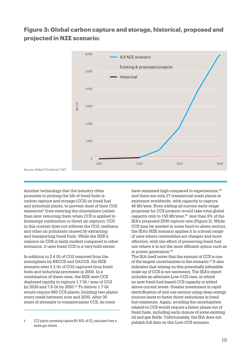## **Figure 3: Global carbon capture and storage, historical, proposed and projected in NZE scenario:**



Sources: Global CCS Institute:<sup>61</sup> IEA<sup>62</sup>

Another technology that the industry often promotes to prolong the life of fossil fuels is carbon capture and storage (CCS) on fossil fuel and industrial plants, to prevent most of their CO2  $e$ missions<sup> $v$ </sup> from entering the atmosphere (rather than later removing them when CCS is applied to bioenergy combustion or direct air capture). CCS in this context does not address the CO2, methane, and other air pollutants caused by extracting and transporting fossil fuels. While the NZE's reliance on CDR is fairly modest compared to other scenarios, it uses fossil CCS to a very bold extent.

In addition to 2.4 Gt of CO2 removed from the atmosphere by BECCS and DACCS, the NZE scenario sees 5.2 Gt of CO2 captured from fossil fuels and industrial processes in 2050. In a combination of these uses, the NZE sees CCS deployed rapidly to capture 1.7 Gt / year of CO2 by 2030 and 7.6 Gt by 2050.57 To deliver 1.7 Gt would require 800 CCS plants, building two plants every week between now and 2030. After 30 years of attempts to commercialize CCS, its costs

have remained high compared to expectations,<sup>58</sup> and there are only 27 commercial-scale plants in existence worldwide, with capacity to capture 40 Mt/year. Even adding all current early-stage proposals for CCS projects would take total global capacity only to 150 Mt/year.<sup>59</sup> less than 9% of the IEA's proposed 2030 capture rate (Figure 3). While CCS may be needed in some hard-to-abate sectors, the IEA's NZE scenario applies it in a broad range of uses where renewables are cheaper and more effective, with the effect of preserving fossil fuel use where it is not the most efficient option such as in power generation.<sup>60</sup>

The IEA itself notes that the amount of CCS is one of the largest uncertainties in the scenario.63 It also indicates that relying on this potentially infeasible scale-up of CCS is not necessary. The IEA's report includes an alternate Low-CCS case, in which no new fossil fuel-based CCS capacity is added above current levels. Greater investment in rapid electrification of end-use sectors using clean energy sources leads to faster direct reductions in fossil fuel emissions. Again, avoiding the uncertainties related to CCS would require a faster phase-out of fossil fuels, including early closure of some existing oil and gas fields. Unfortunately, the IEA does not publish full data on this Low-CCS scenario.

V  $\,$  CCS plants commonly capture 80-90% of CO $_{2}$  emissions from a waste gas stream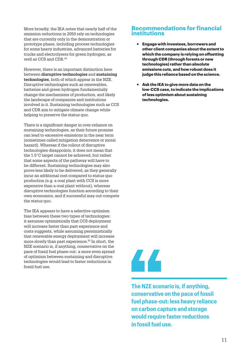More broadly, the IEA notes that nearly half of the emission reductions in 2050 rely on technologies that are currently only in the demonstration or prototype phase, including process technologies for some heavy industries, advanced batteries for trucks and electrolysers for green hydrogen, as well as CCS and CDR.64

However, there is an important distinction here between **disruptive technologies** and **sustaining technologies**, both of which appear in the NZE. Disruptive technologies such as renewables, batteries and green hydrogen fundamentally change the mechanisms of production, and likely the landscape of companies and institutions involved in it. Sustaining technologies such as CCS and CDR aim to mitigate climate change while helping to preserve the status quo.

There is a significant danger in over-reliance on sustaining technologies, as their future promise can lead to excessive emissions in the near term (sometimes called mitigation deterrence or moral hazard). Whereas if the rollout of disruptive technologies disappoints, it does not mean that the 1.5°C target cannot be achieved, but rather that some aspects of the pathway will have to be different. Sustaining technologies may also prove less likely to be delivered, as they generally incur an additional cost compared to status quo production (e.g. a coal plant with CCS is more expensive than a coal plant without), whereas disruptive technologies function according to their own economics, and if successful may out-compete the status quo.

The IEA appears to have a selective-optimism bias between these two types of technologies: it assumes optimistically that CCS deployment will increase faster than past experience and costs suggests, while assuming pessimistically that renewable energy deployment will increase more slowly than past experience.<sup>65</sup> In short, the NZE scenario is, if anything, conservative on the pace of fossil fuel phase-out: a more even spread of optimism between sustaining and disruptive technologies would lead to faster reductions in fossil fuel use.

#### **Recommendations for financial institutions**

- ~ **Engage with investees, borrowers and other client companies about the extent to which the company is relying on offsetting through CDR (through forests or new technologies) rather than absolute emissions cuts, and how robust does it judge this reliance based on the science.**
- ~ **Ask the IEA to give more data on the low-CCS case, to indicate the implications of less optimism about sustaining technologies.**

## 44

**The NZE scenario is, if anything, conservative on the pace of fossil fuel phase-out: less heavy reliance on carbon capture and storage would require faster reductions in fossil fuel use.**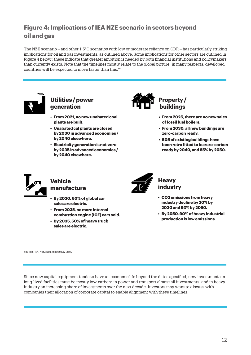## **Figure 4: Implications of IEA NZE scenario in sectors beyond oil and gas**

The NZE scenario – and other 1.5°C scenarios with low or moderate reliance on CDR – has particularly striking implications for oil and gas investments, as outlined above. Some implications for other sectors are outlined in Figure 4 below: these indicate that greater ambition is needed by both financial institutions and policymakers than currently exists. Note that the timelines mostly relate to the global picture: in many respects, developed countries will be expected to move faster than this.<sup>66</sup>



## **Utilities / power generation**

- **From 2021, no new unabated coal plants are built.**
- **Unabated cal plants are closed by 2030 in advanced economies / by 2040 elsewhere.**
- **Electricity generation is net-zero by 2035 in advanced economies / by 2040 elsewhere.**



## **Property / buildings**

- **From 2025, there are no new sales of fossil fuel boilers.**
- **From 2030, all new buildings are zero-carbon ready.**
- **505 of existing buildings have been retro fitted to be zero-carbon ready by 2040, and 85% by 2050.**



## **Vehicle manufacture**

- **By 2030, 60% of global car sales are electric.**
- **From 2035, no more internal combustion engine (ICE) cars sold.**
- **By 2035, 50% of heavy truck sales are electric.**



## **Heavy industry**

- **CO2 emissions from heavy industry decline by 20% by 2030 and 93% by 2050.**
- **By 2050, 90% of heavy industrial production is low emissions.**

Sources: IEA, *Net Zero Emissions by 2050*

Since new capital equipment tends to have an economic life beyond the dates specified, new investments in long-lived facilities must be mostly low-carbon: in power and transport almost all investments, and in heavy industry an increasing share of investments over the next decade. Investors may want to discuss with companies their allocation of corporate capital to enable alignment with these timelines.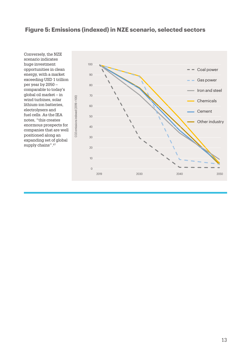## **Figure 5: Emissions (indexed) in NZE scenario, selected sectors**

Conversely, the NZE scenario indicates huge investment opportunities in clean energy, with a market exceeding USD 1 trillion per year by 2050 – comparable to today's global oil market – in wind turbines, solar lithium-ion batteries, electrolysers and fuel cells. As the IEA notes, "this creates enormous prospects for companies that are well positioned along an expanding set of global supply chains".<sup>67</sup>

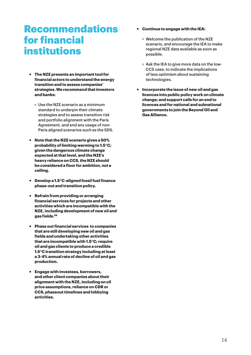## **Recommendations** for financial institutions

- ~ **The NZE presents an important tool for financial actors to understand the energy transition and to assess companies' strategies. We recommend that investors and banks:**
	- $\circ$  Use the NZE scenario as a minimum standard to underpin their climate strategies and to assess transition risk and portfolio alignment with the Paris Agreement, and end any usage of non-Paris aligned scenarios such as the SDS.
- ~ **Note that the NZE scenario gives a 50% probability of limiting warming to 1.5°C; given the dangerous climate change expected at that level, and the NZE's heavy reliance on CCS, the NZE should be considered a floor for ambition, not a ceiling.**
- ~ **Develop a 1.5°C-aligned fossil fuel finance phase-out and transition policy.**
- ~ **Refrain from providing or arranging financial services for projects and other activities which are incompatible with the NZE, including development of new oil and gas fields.68**
- ~ **Phase out financial services to companies that are still developing new oil and gas fields and undertaking other activities that are incompatible with 1.5°C; require oil and gas clients to produce a credible 1.5°C transition strategy including at least a 3-4% annual rate of decline of oil and gas production.**
- ~ **Engage with investees, borrowers, and other client companies about their alignment with the NZE, including on oil price assumptions, reliance on CDR or CCS, phaseout timelines and lobbying activities.**
- ~ **Continue to engage with the IEA:**
	- Welcome the publication of the NZE scenario, and encourage the IEA to make regional NZE data available as soon as possible.
	- Ask the IEA to give more data on the low-CCS case, to indicate the implications of less optimism about sustaining technologies.
- ~ **Incorporate the issue of new oil and gas licences into public policy work on climate change; and support calls for an end to licences and for national and subnational governments to join the Beyond Oil and Gas Alliance.**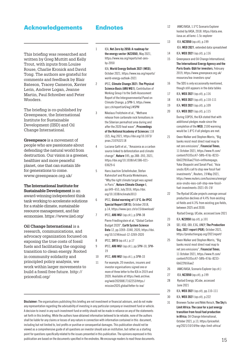### Acknowledgements

This briefing was researched and written by Greg Muttitt and Kelly Trout, with inputs from Louise Rouse, Charlie Kronick and David Tong. The authors are grateful for comments and feedback by Blair Bateson, Tracey Cameron, Xavier Lerin, Andrew Logan, Jeanne Martin, Paul Schreiber and Peter Wooders.

The briefing is co-published by Greenpeace, the International Institute for Sustainable Development (IISD) and Oil Change International.

**Greenpeace** is a movement of people who are passionate about defending the natural world from destruction. Our vision is a greener, healthier and more peaceful planet, one that can sustain life for generations to come. www.greenpeace.org.uk/

**The International Institute for Sustainable Development** is an award-winning independent think tank working to accelerate solutions for a stable climate, sustainable resource management, and fair economies. https://www.iisd.org/

**Oil Change International** is a research, communications, and advocacy organization focused on exposing the true costs of fossil fuels and facilitating the ongoing transition to clean energy. Rooted in community solidarity and principled policy analysis, we work within larger movements to build a fossil free future. http:// priceofoil.org/

## Endnotes

1 IEA, Net Zero by 2050: A roadmap for the energy sector (NZ2050), May 2021, https://www.iea.org/reports/net-zeroby-2050

> IEA, World Energy Outlook 2021 (WEO), October 2021, https://www.iea.org/reports/ world-energy-outlook-2021

- 2 IPCC, Climate Change 2021: The Physical Science Basis (AR6 WG1), Contribution of Working Group I to the Sixth Assessment Report of the Intergovernmental Panel on Climate Change, p.SPM-5, https://www. ipcc.ch/report/ar6/wg1/#SPM
- 3 Nikolaus Froitzheim et al., "Methane release from carbonate rock formations in the Siberian permafrost area during and after the 2020 heat wave", Proceedings of the National Academy of Sciences 118 (32), Aug 2021, https://doi.org/10.1073/ pnas.2107632118
- 4 Luciana Gatti et al., "Amazonia as a carbon source linked to deforestation and climate change", Nature 595, pp.388–393, 2021, https://doi.org/10.1038/s41586-021- 03629-6
- 5 Hans Joachim Schellnhuber, Stefan Rahmstorf and Ricarda Winkelmann, "Why the right climate target was agreed in Paris", Nature Climate Change 6, pp.649–653, July 2016, https://doi. org/10.1038/nclimate3013
- 6 IPCC, Global warming of 1.5°C. An IPCC Special Report (SR15), October 2018, p.14, https://www.ipcc.ch/sr15/download/
- 7 IPCC, AR6 WG1 (op.cit.), p.SPM-38 Pierre Friedlingstein et al, "Global Carbon Budget 2020", Earth System Science Data 12, pp.3269–3340, 2020, https://doi. org/10.5194/essd-12-3269-2020
- 8 IPCC, SR15 (op.cit.), p.17
- 9 IPCC, AR6 WG1 (op.cit.), pp.SPM-10, SPM-19
- 10 IPCC, AR6 WG1 (op.cit.), p.SPM-33
- 11 For example, 20 investors, insurers and investor organisations signed one or more of three letter to the IEA in 2019 and 2020. Available at https://web.archive. org/web/20200817162253/https:/ mission2020.global/letter-to-iea/

Disclaimer: The organisations publishing this briefing are not investment or financial advisors, and do not make any representation regarding the advisability of investing in any particular company or investment fund or vehicle. A decision to invest in any such investment fund or entity should not be made in reliance on any of the statements set forth in this briefing. While the authors have obtained information believed to be reliable, none of the authors shall be liable for any claims or losses of any nature in connection with information contained in this document, including but not limited to, lost profits or punitive or consequential damages. This publication should not be viewed as a comprehensive guide of all questions an investor should ask an institution, but rather as a starting point for questions specifically related to the issues presented in this publication. The opinions expressed in this publication are based on the documents specified in the endnotes. We encourage readers to read those documents.  $15\,$ 

- 12 IAMC/IIASA, 1.5°C Scenario Explorer hosted by IIASA, 2018. https://data.ene. iiasa.ac.at/iamc-1.5c-explorer
- 13 IEA, NZ2050 (op.cit), p.199 IEA, WEO 2021, extended data spreadsheet
- 14 IEA, WEO 2021 (op.cit), p.116
- 15 Greenpeace and Oil Change International, The International Energy Agency and the Paris Goals: Q&A for investors, February 2019, https://www.greenpeace.org.uk/ resources/iea-investors-qna/
- 16 The SDS is only occasionally mentioned, though still appears in the data tables
- 17 IEA, WEO 2021 (op.cit), p.116
- 18 IEA, WEO 2021 (op.cit), p.110-111
- 19 IEA, WEO 2021 (op.cit), p.109
- 20 IEA, WEO 2021 (op.cit), p.115 During COP26, the IEA stated that with additional pledges made since the completion of the WEO, 2100 warming would be 1.8°C if all pledges are met.
- 21 Owen Walker and Stephen Morris, "Big banks resist most direct road map to net zero emissions", Financial Times, 11 October 2021, https://www.ft.com/ content/9105cc47-58fb-47dc-8233- 6b622fb56ae2?list=intlhomepage; Yuka Obayashi and Sonali Paul, "Asia snubs IEA's call to stop new fossil fuel investments", Reuters, 19 May 2021, https://www.reuters.com/business/energy/ asia-snubs-ieas-call-stop-new-fossilfuel-investments-2021-05-19/
- 22 The Rystad UCube projects average annual production declines of 4.4% from existing oil fields and 4.3% from existing gas fields, between 2025 and 2030.

Rystad Energy, UCube, accessed June 2021

- 23 IEA, NZ2050 (op.cit), p.101
- 24 SEI, IISD, ODI, E3G, UNEP, The Production Gap, 2021 report (PGR), October 2021, https://productiongap.org/2021report/
- 25 Owen Walker and Stephen Morris, "Big banks resist most direct road map to net zero emissions", Financial Times, 11 October 2021, https://www.ft.com/ content/9105cc47-58fb-47dc-8233- 6b622fb56ae2
- 26 IAMC/IIASA, Scenario Explorer (op.cit.)
- 27 IEA, NZ2050 (op.cit), p.199
- 28 Rystad Energy, UCube, accessed June 2021
- 29 IEA, WEO 2021 (op.cit), pp.110-111
- 30 IEA, WEO 2021 (op.cit), p.222
- 31 Bronwen Tucker and Nikki Reisch, The Sky's Limit Africa: The case for a just energy transition from fossil fuel production in Africa, Oil Change International, October 2021, p.13, https://priceofoil. org/2021/10/14/the-skys-limit-africa/